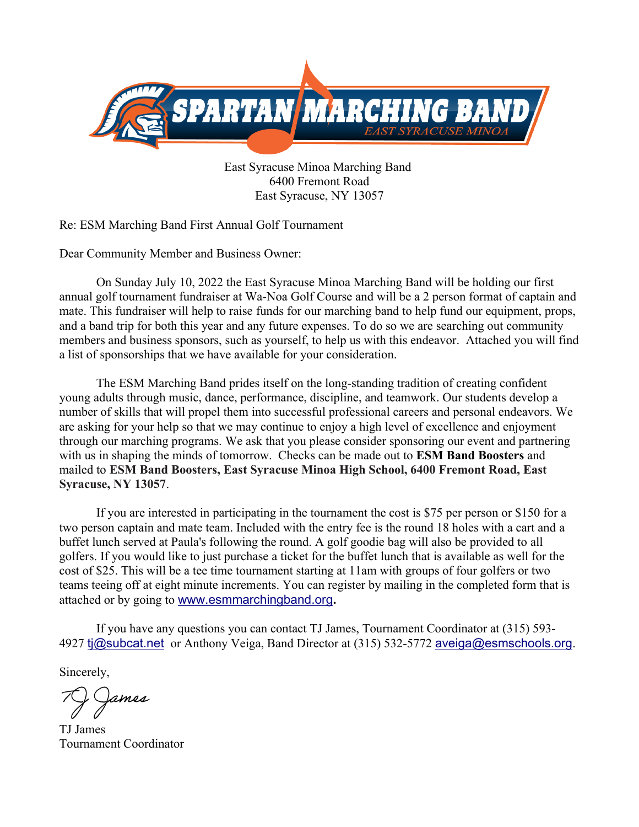

East Syracuse Minoa Marching Band 6400 Fremont Road East Syracuse, NY 13057

Re: ESM Marching Band First Annual Golf Tournament

Dear Community Member and Business Owner:

On Sunday July 10, 2022 the East Syracuse Minoa Marching Band will be holding our first annual golf tournament fundraiser at Wa-Noa Golf Course and will be a 2 person format of captain and mate. This fundraiser will help to raise funds for our marching band to help fund our equipment, props, and a band trip for both this year and any future expenses. To do so we are searching out community members and business sponsors, such as yourself, to help us with this endeavor. Attached you will find a list of sponsorships that we have available for your consideration.

The ESM Marching Band prides itself on the long-standing tradition of creating confident young adults through music, dance, performance, discipline, and teamwork. Our students develop a number of skills that will propel them into successful professional careers and personal endeavors. We are asking for your help so that we may continue to enjoy a high level of excellence and enjoyment through our marching programs. We ask that you please consider sponsoring our event and partnering with us in shaping the minds of tomorrow. Checks can be made out to **ESM Band Boosters** and mailed to **ESM Band Boosters, East Syracuse Minoa High School, 6400 Fremont Road, East Syracuse, NY 13057**.

If you are interested in participating in the tournament the cost is \$75 per person or \$150 for a two person captain and mate team. Included with the entry fee is the round 18 holes with a cart and a buffet lunch served at Paula's following the round. A golf goodie bag will also be provided to all golfers. If you would like to just purchase a ticket for the buffet lunch that is available as well for the cost of \$25. This will be a tee time tournament starting at 11am with groups of four golfers or two teams teeing off at eight minute increments. You can register by mailing in the completed form that is attached or by going to [www.esmmarchingband.org](http://www.esmmarchingband.org/)**.**

If you have any questions you can contact TJ James, Tournament Coordinator at (315) 593- 4927 [tj@subcat.net](mailto:tj@subcat.net) or Anthony Veiga, Band Director at (315) 532-5772 [aveiga@esmschools.org](mailto:aveiga@esmschools.org).

Sincerely,

ames

TJ James Tournament Coordinator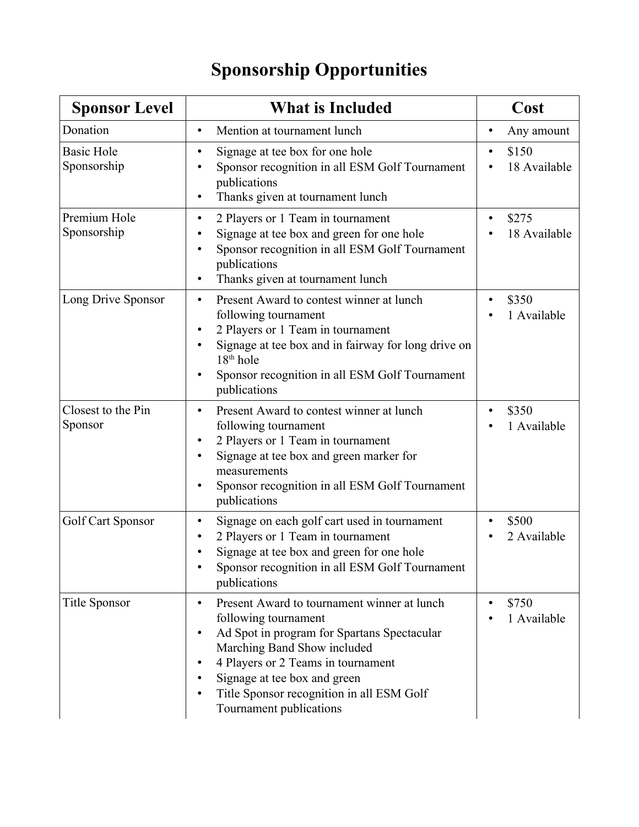## **Sponsorship Opportunities**

| <b>Sponsor Level</b>             | <b>What is Included</b>                                                                                                                                                                                                                                                                                           | Cost                    |
|----------------------------------|-------------------------------------------------------------------------------------------------------------------------------------------------------------------------------------------------------------------------------------------------------------------------------------------------------------------|-------------------------|
| Donation                         | Mention at tournament lunch<br>$\bullet$                                                                                                                                                                                                                                                                          | Any amount<br>$\bullet$ |
| <b>Basic Hole</b><br>Sponsorship | Signage at tee box for one hole<br>٠<br>Sponsor recognition in all ESM Golf Tournament<br>publications<br>Thanks given at tournament lunch<br>٠                                                                                                                                                                   | \$150<br>18 Available   |
| Premium Hole<br>Sponsorship      | 2 Players or 1 Team in tournament<br>$\bullet$<br>Signage at tee box and green for one hole<br>Sponsor recognition in all ESM Golf Tournament<br>٠<br>publications<br>Thanks given at tournament lunch<br>٠                                                                                                       | \$275<br>18 Available   |
| Long Drive Sponsor               | Present Award to contest winner at lunch<br>٠<br>following tournament<br>2 Players or 1 Team in tournament<br>Signage at tee box and in fairway for long drive on<br>$18th$ hole<br>Sponsor recognition in all ESM Golf Tournament<br>٠<br>publications                                                           | \$350<br>1 Available    |
| Closest to the Pin<br>Sponsor    | Present Award to contest winner at lunch<br>$\bullet$<br>following tournament<br>2 Players or 1 Team in tournament<br>٠<br>Signage at tee box and green marker for<br>٠<br>measurements<br>Sponsor recognition in all ESM Golf Tournament<br>٠<br>publications                                                    | \$350<br>1 Available    |
| Golf Cart Sponsor                | Signage on each golf cart used in tournament<br>٠<br>2 Players or 1 Team in tournament<br>Signage at tee box and green for one hole<br>Sponsor recognition in all ESM Golf Tournament<br>publications                                                                                                             | \$500<br>2 Available    |
| Title Sponsor                    | Present Award to tournament winner at lunch<br>$\bullet$<br>following tournament<br>Ad Spot in program for Spartans Spectacular<br>٠<br>Marching Band Show included<br>4 Players or 2 Teams in tournament<br>Signage at tee box and green<br>Title Sponsor recognition in all ESM Golf<br>Tournament publications | \$750<br>1 Available    |